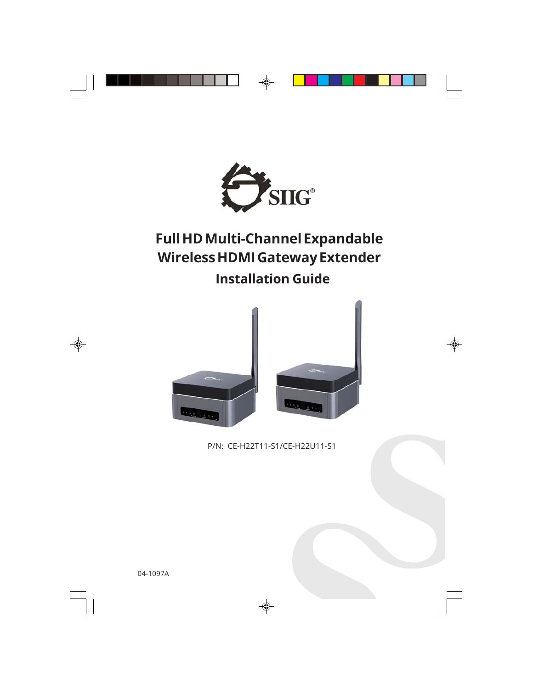

# **Full HD Multi-Channel Expandable Wireless HDMI Gateway Extender Installation Guide**



P/N: CE-H22T11-S1/CE-H22U11-S1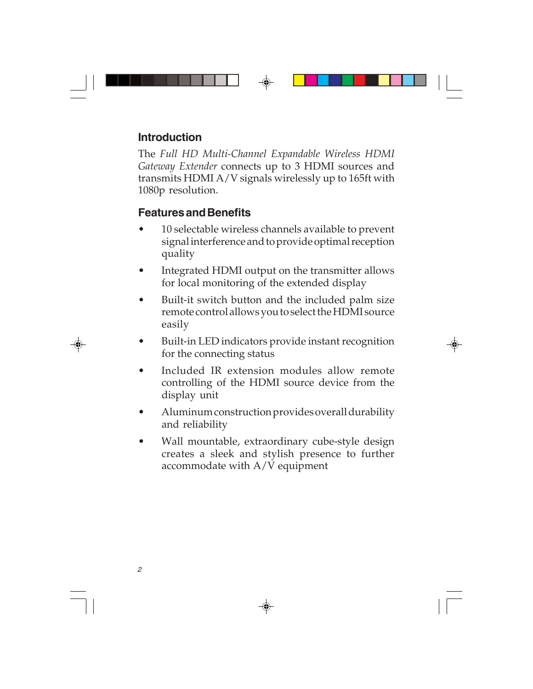#### **Introduction**

The *Full HD Multi-Channel Expandable Wireless HDMI Gateway Extender* connects up to 3 HDMI sources and transmits HDMI A/V signals wirelessly up to 165ft with 1080p resolution.

#### **Features and Benefits**

- 10 selectable wireless channels available to prevent signal interference and to provide optimal reception quality
- Integrated HDMI output on the transmitter allows for local monitoring of the extended display
- Built-it switch button and the included palm size remote control allows you to select the HDMI source easily
- Built-in LED indicators provide instant recognition for the connecting status
- Included IR extension modules allow remote controlling of the HDMI source device from the display unit
- Aluminum construction provides overall durability and reliability
- Wall mountable, extraordinary cube-style design creates a sleek and stylish presence to further accommodate with A/V equipment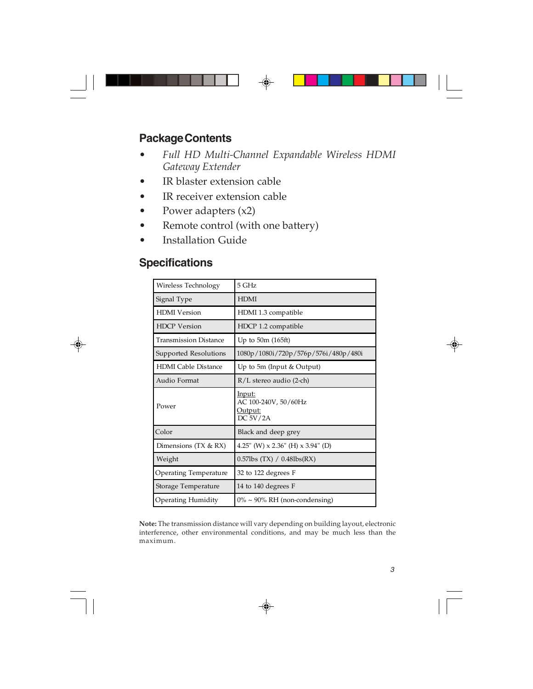#### **Package Contents**

- *Full HD Multi-Channel Expandable Wireless HDMI Gateway Extender*
- IR blaster extension cable
- IR receiver extension cable
- Power adapters (x2)
- Remote control (with one battery)
- **Installation Guide**

#### **Specifications**

| Wireless Technology          | 5 GHz                                                        |
|------------------------------|--------------------------------------------------------------|
| Signal Type                  | <b>HDMI</b>                                                  |
| <b>HDMI</b> Version          | HDMI 1.3 compatible                                          |
| <b>HDCP</b> Version          | HDCP 1.2 compatible                                          |
| <b>Transmission Distance</b> | Up to $50m(165ft)$                                           |
| Supported Resolutions        | 1080p/1080i/720p/576p/576i/480p/480i                         |
| <b>HDMI</b> Cable Distance   | Up to 5m (Input & Output)                                    |
| Audio Format                 | $R/L$ stereo audio (2-ch)                                    |
| Power                        | <u>Input:</u><br>AC 100-240V, 50/60Hz<br>Output:<br>DC 5V/2A |
| Color                        | Black and deep grey                                          |
| Dimensions $(TX & RX)$       | 4.25" (W) $\times$ 2.36" (H) $\times$ 3.94" (D)              |
| Weight                       | $0.57$ lbs (TX) / $0.48$ lbs(RX)                             |
| Operating Temperature        | 32 to 122 degrees F                                          |
| Storage Temperature          | 14 to 140 degrees F                                          |
| <b>Operating Humidity</b>    | $0\% \sim 90\%$ RH (non-condensing)                          |

**Note:** The transmission distance will vary depending on building layout, electronic interference, other environmental conditions, and may be much less than the maximum.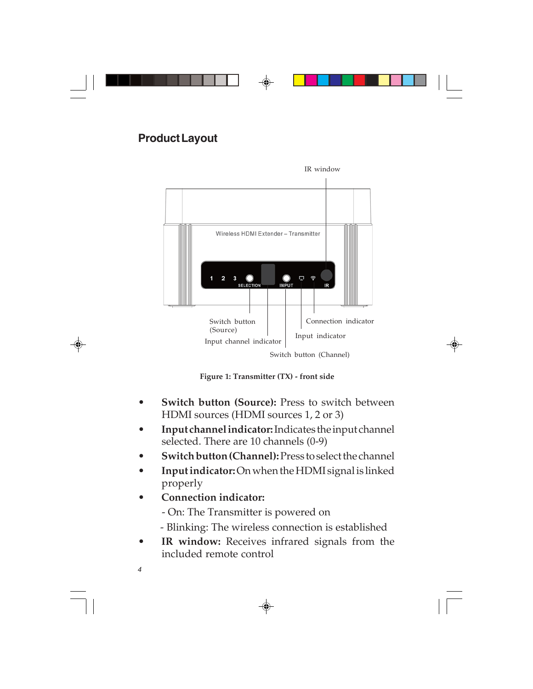#### **Product Layout**



**Figure 1: Transmitter (TX) - front side**

- **Switch button (Source):** Press to switch between HDMI sources (HDMI sources 1, 2 or 3)
- **Input channel indicator:** Indicates the input channel selected. There are 10 channels (0-9)
- **Switch button (Channel):** Press to select the channel
- **Input indicator:** On when the HDMI signal is linked properly
- **Connection indicator:**
	- On: The Transmitter is powered on
	- Blinking: The wireless connection is established
- **IR window:** Receives infrared signals from the included remote control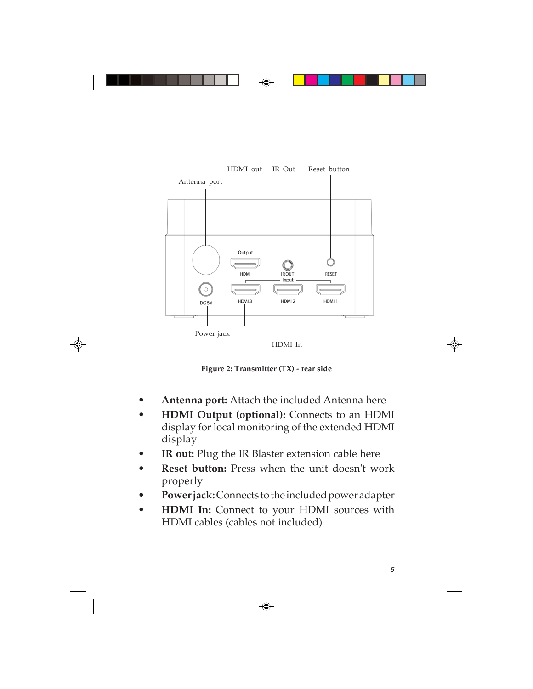

**Figure 2: Transmitter (TX) - rear side**

- **Antenna port:** Attach the included Antenna here
- **HDMI Output (optional):** Connects to an HDMI display for local monitoring of the extended HDMI display
- **IR out:** Plug the IR Blaster extension cable here
- **Reset button:** Press when the unit doesn't work properly
- **Power jack:** Connects to the included power adapter
- **HDMI In:** Connect to your HDMI sources with HDMI cables (cables not included)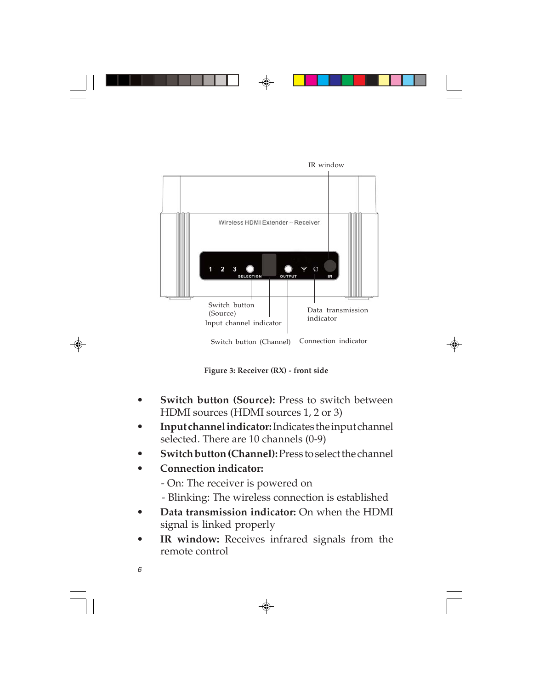

**Figure 3: Receiver (RX) - front side**

- **Switch button (Source):** Press to switch between HDMI sources (HDMI sources 1, 2 or 3)
- **Input channel indicator:** Indicates the input channel selected. There are 10 channels (0-9)
- **Switch button (Channel):** Press to select the channel
- **Connection indicator:**
	- On: The receiver is powered on
	- Blinking: The wireless connection is established
- **Data transmission indicator:** On when the HDMI signal is linked properly
- IR window: Receives infrared signals from the remote control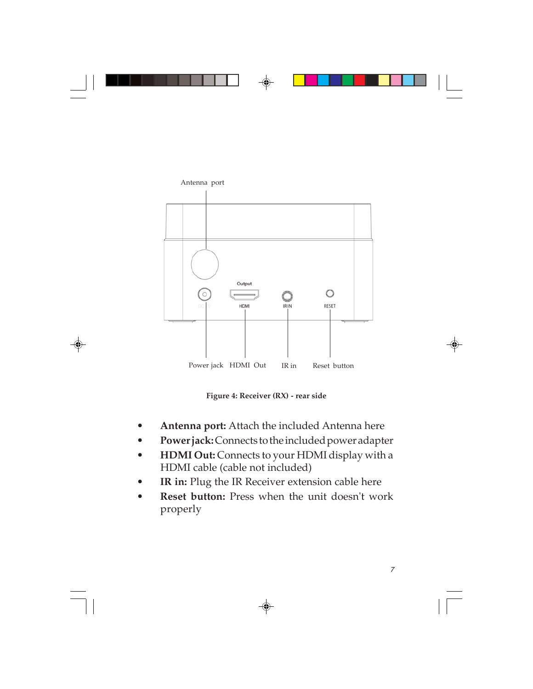

**Figure 4: Receiver (RX) - rear side**

- **Antenna port:** Attach the included Antenna here
- **Power jack:** Connects to the included power adapter
- **HDMI Out:** Connects to your HDMI display with a HDMI cable (cable not included)
- IR in: Plug the IR Receiver extension cable here
- **Reset button:** Press when the unit doesn't work properly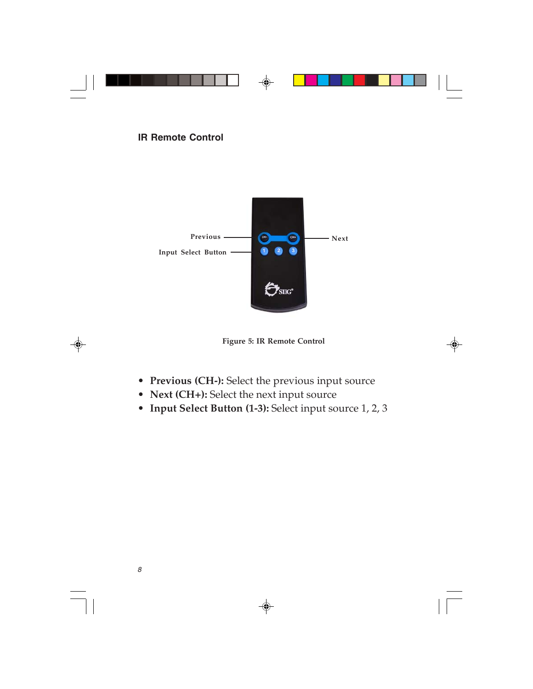#### **IR Remote Control**



**Figure 5: IR Remote Control**

- **Previous (CH-):** Select the previous input source
- **Next (CH+):** Select the next input source
- **Input Select Button (1-3):** Select input source 1, 2, 3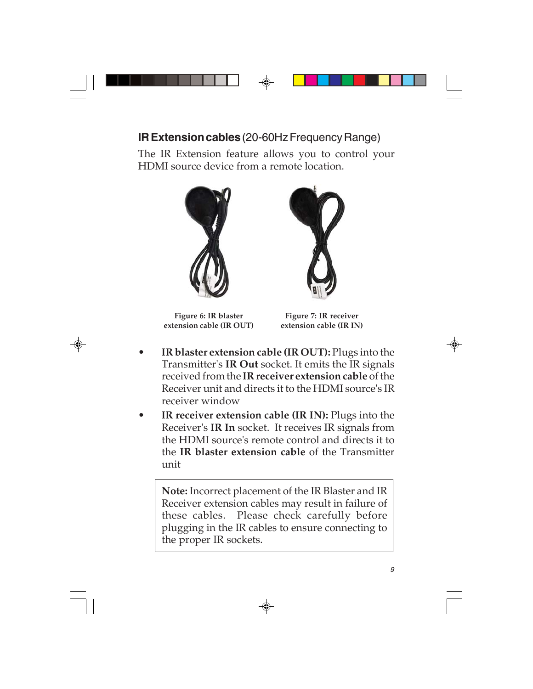### **IR Extension cables** (20-60Hz Frequency Range)

The IR Extension feature allows you to control your HDMI source device from a remote location.



**Figure 6: IR blaster extension cable (IR OUT)**



**Figure 7: IR receiver extension cable (IR IN)**

- **IR blaster extension cable (IR OUT):** Plugs into the Transmitter's **IR Out** socket. It emits the IR signals received from the **IR receiver extension cable** of the Receiver unit and directs it to the HDMI source's IR receiver window
- **IR receiver extension cable (IR IN):** Plugs into the Receiver's **IR In** socket. It receives IR signals from the HDMI source's remote control and directs it to the **IR blaster extension cable** of the Transmitter unit

**Note:** Incorrect placement of the IR Blaster and IR Receiver extension cables may result in failure of these cables. Please check carefully before plugging in the IR cables to ensure connecting to the proper IR sockets.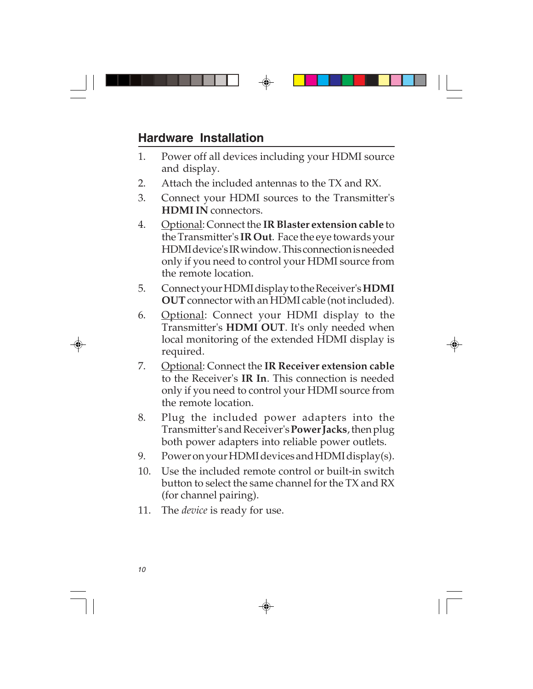## **Hardware Installation**

- 1. Power off all devices including your HDMI source and display.
- 2. Attach the included antennas to the TX and RX.
- 3. Connect your HDMI sources to the Transmitter's **HDMI IN** connectors.
- 4. Optional: Connect the **IR Blaster extension cable** to the Transmitter's **IR Out**. Face the eye towards your HDMI device's IR window. This connection is needed only if you need to control your HDMI source from the remote location.
- 5. Connect your HDMI display to the Receiver's **HDMI OUT** connector with an HDMI cable (not included).
- 6. Optional: Connect your HDMI display to the Transmitter's **HDMI OUT**. It's only needed when local monitoring of the extended HDMI display is required.
- 7. Optional: Connect the **IR Receiver extension cable** to the Receiver's **IR In**. This connection is needed only if you need to control your HDMI source from the remote location.
- 8. Plug the included power adapters into the Transmitter's and Receiver's **Power Jacks**, then plug both power adapters into reliable power outlets.
- 9. Power on your HDMI devices and HDMI display(s).
- 10. Use the included remote control or built-in switch button to select the same channel for the TX and RX (for channel pairing).
- 11. The *device* is ready for use.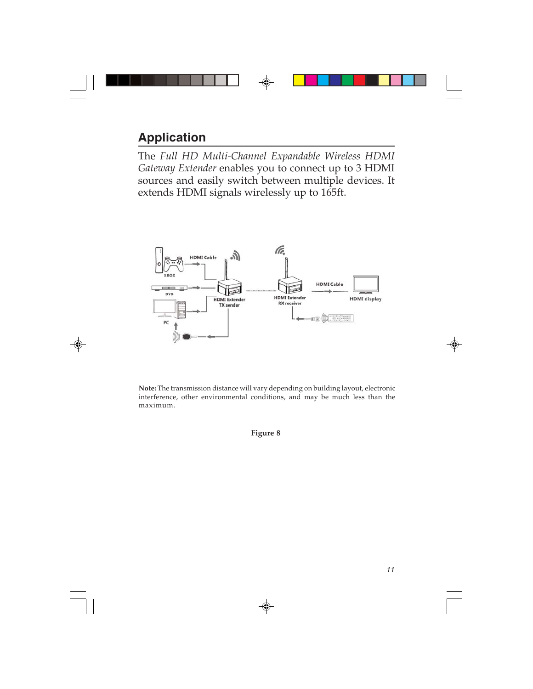## **Application**

The *Full HD Multi-Channel Expandable Wireless HDMI Gateway Extender* enables you to connect up to 3 HDMI sources and easily switch between multiple devices. It extends HDMI signals wirelessly up to 165ft.



**Note:** The transmission distance will vary depending on building layout, electronic interference, other environmental conditions, and may be much less than the maximum.

**Figure 8**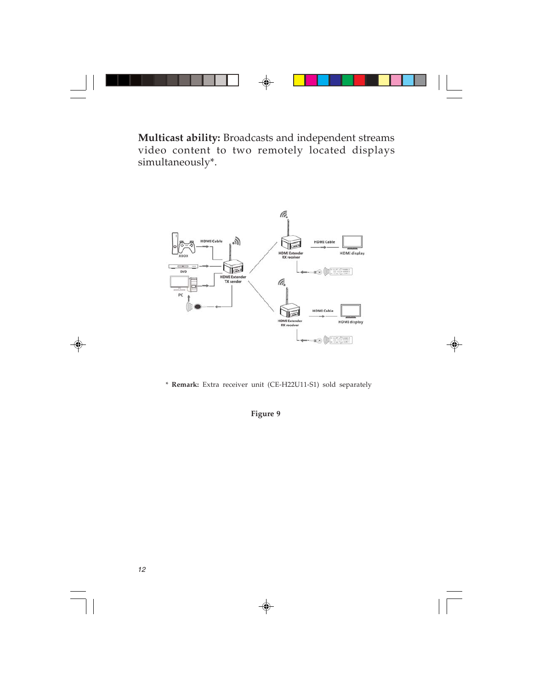**Multicast ability:** Broadcasts and independent streams video content to two remotely located displays simultaneously\*.



\* **Remark:** Extra receiver unit (CE-H22U11-S1) sold separately

**Figure 9**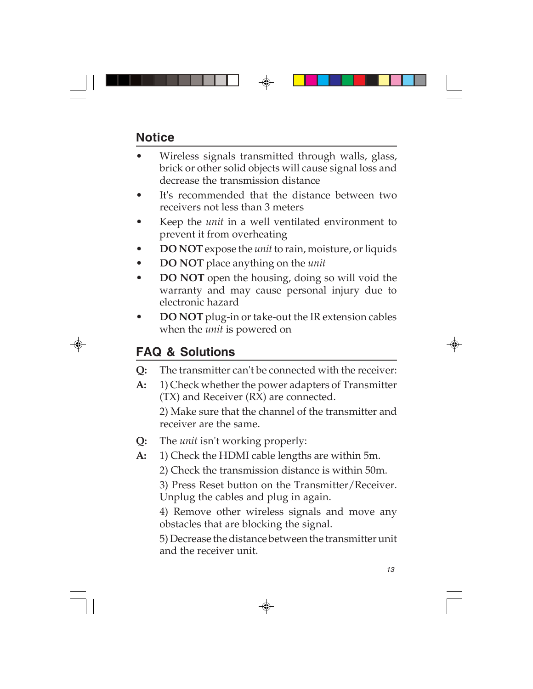## **Notice**

- Wireless signals transmitted through walls, glass, brick or other solid objects will cause signal loss and decrease the transmission distance
- It's recommended that the distance between two receivers not less than 3 meters
- Keep the *unit* in a well ventilated environment to prevent it from overheating
- **DO NOT** expose the *unit* to rain, moisture, or liquids
- **DO NOT** place anything on the *unit*
- **DO NOT** open the housing, doing so will void the warranty and may cause personal injury due to electronic hazard
- **DO NOT** plug-in or take-out the IR extension cables when the *unit* is powered on

## **FAQ & Solutions**

- **Q:** The transmitter can't be connected with the receiver:
- **A:** 1) Check whether the power adapters of Transmitter (TX) and Receiver (RX) are connected. 2) Make sure that the channel of the transmitter and receiver are the same.
- **Q:** The *unit* isn't working properly:
- **A:** 1) Check the HDMI cable lengths are within 5m.
	- 2) Check the transmission distance is within 50m.

3) Press Reset button on the Transmitter/Receiver. Unplug the cables and plug in again.

4) Remove other wireless signals and move any obstacles that are blocking the signal.

5) Decrease the distance between the transmitter unit and the receiver unit.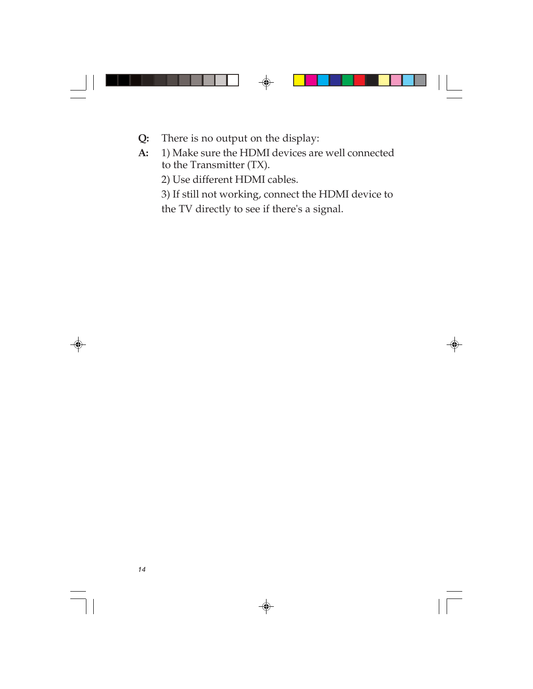- **Q:** There is no output on the display:
- **A:** 1) Make sure the HDMI devices are well connected to the Transmitter (TX).

2) Use different HDMI cables.

3) If still not working, connect the HDMI device to the TV directly to see if there's a signal.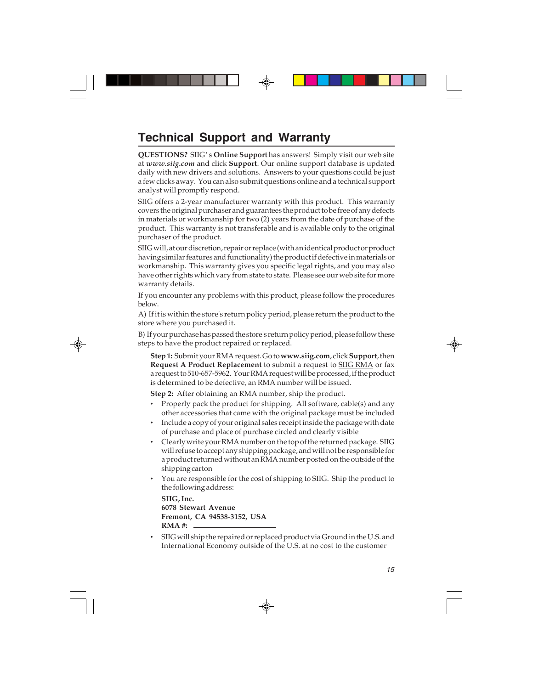## **Technical Support and Warranty**

**QUESTIONS?** SIIG' s **Online Support** has answers! Simply visit our web site at *www.siig.com* and click **Support**. Our online support database is updated daily with new drivers and solutions. Answers to your questions could be just a few clicks away. You can also submit questions online and a technical support analyst will promptly respond.

SIIG offers a 2-year manufacturer warranty with this product. This warranty covers the original purchaser and guarantees the product to be free of any defects in materials or workmanship for two (2) years from the date of purchase of the product. This warranty is not transferable and is available only to the original purchaser of the product.

SIIG will, at our discretion, repair or replace (with an identical product or product having similar features and functionality) the product if defective in materials or workmanship. This warranty gives you specific legal rights, and you may also have other rights which vary from state to state. Please see our web site for more warranty details.

If you encounter any problems with this product, please follow the procedures below.

A) If it is within the store's return policy period, please return the product to the store where you purchased it.

B) If your purchase has passed the store's return policy period, please follow these steps to have the product repaired or replaced.

**Step 1:** Submit your RMA request. Go to **www.siig.com**, click **Support**, then **Request A Product Replacement** to submit a request to SIIG RMA or fax a request to 510-657-5962. Your RMA request will be processed, if the product is determined to be defective, an RMA number will be issued.

**Step 2:** After obtaining an RMA number, ship the product.

- Properly pack the product for shipping. All software, cable(s) and any other accessories that came with the original package must be included
- Include a copy of your original sales receipt inside the package with date of purchase and place of purchase circled and clearly visible
- Clearly write your RMA number on the top of the returned package. SIIG will refuse to accept any shipping package, and will not be responsible for a product returned without an RMA number posted on the outside of the shipping carton
- You are responsible for the cost of shipping to SIIG. Ship the product to the following address:

```
SIIG, Inc.
6078 Stewart Avenue
Fremont, CA 94538-3152, USA
RMA #:
```
• SIIG will ship the repaired or replaced product via Ground in the U.S. and International Economy outside of the U.S. at no cost to the customer